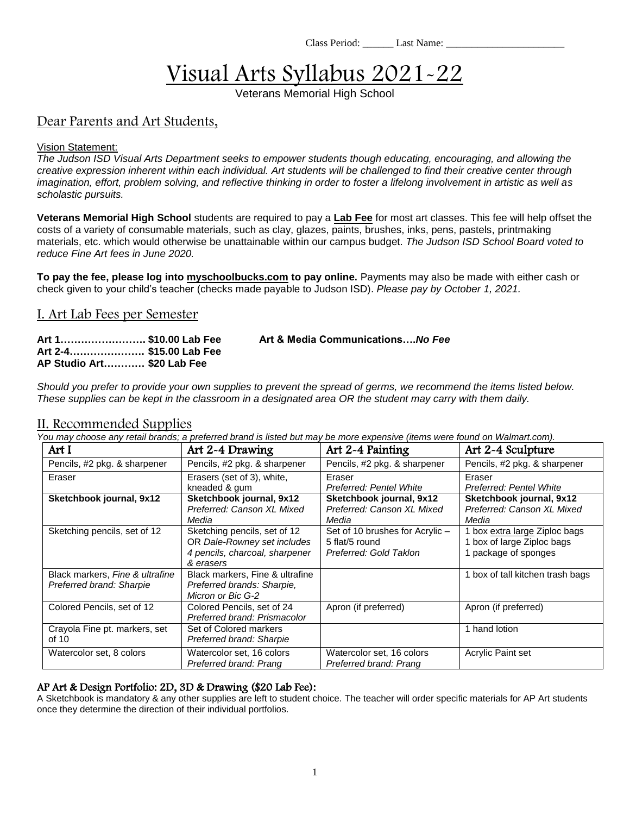Class Period: Last Name:

# Visual Arts Syllabus 2021-22

Veterans Memorial High School

## Dear Parents and Art Students,

#### Vision Statement:

*The Judson ISD Visual Arts Department seeks to empower students though educating, encouraging, and allowing the creative expression inherent within each individual. Art students will be challenged to find their creative center through imagination, effort, problem solving, and reflective thinking in order to foster a lifelong involvement in artistic as well as scholastic pursuits.*

**Veterans Memorial High School** students are required to pay a **Lab Fee** for most art classes. This fee will help offset the costs of a variety of consumable materials, such as clay, glazes, paints, brushes, inks, pens, pastels, printmaking materials, etc. which would otherwise be unattainable within our campus budget. *The Judson ISD School Board voted to reduce Fine Art fees in June 2020.*

**To pay the fee, please log into myschoolbucks.com to pay online.** Payments may also be made with either cash or check given to your child's teacher (checks made payable to Judson ISD). *Please pay by October 1, 2021.*

### I. Art Lab Fees per Semester

**Art 2-4…………………. \$15.00 Lab Fee AP Studio Art………… \$20 Lab Fee**

**Art 1……………………. \$10.00 Lab Fee Art & Media Communications….***No Fee*

*Should you prefer to provide your own supplies to prevent the spread of germs, we recommend the items listed below. These supplies can be kept in the classroom in a designated area OR the student may carry with them daily.*

#### II. Recommended Supplies

*You may choose any retail brands; a preferred brand is listed but may be more expensive (items were found on Walmart.com).*

| Art I                                                       | Art 2-4 Drawing                                                                                            | Art 2-4 Painting                                                            | Art 2-4 Sculpture                                                                   |
|-------------------------------------------------------------|------------------------------------------------------------------------------------------------------------|-----------------------------------------------------------------------------|-------------------------------------------------------------------------------------|
| Pencils, #2 pkg. & sharpener                                | Pencils, #2 pkg. & sharpener                                                                               | Pencils, #2 pkg. & sharpener                                                | Pencils, #2 pkg. & sharpener                                                        |
| Eraser                                                      | Erasers (set of 3), white,<br>kneaded & gum                                                                | Eraser<br>Preferred: Pentel White                                           | Eraser<br>Preferred: Pentel White                                                   |
| Sketchbook journal, 9x12                                    | Sketchbook journal, 9x12<br>Preferred: Canson XL Mixed<br>Media                                            | Sketchbook journal, 9x12<br>Preferred: Canson XL Mixed<br>Media             | Sketchbook journal, 9x12<br>Preferred: Canson XL Mixed<br>Media                     |
| Sketching pencils, set of 12                                | Sketching pencils, set of 12<br>OR Dale-Rowney set includes<br>4 pencils, charcoal, sharpener<br>& erasers | Set of 10 brushes for Acrylic -<br>5 flat/5 round<br>Preferred: Gold Taklon | 1 box extra large Ziploc bags<br>1 box of large Ziploc bags<br>1 package of sponges |
| Black markers, Fine & ultrafine<br>Preferred brand: Sharpie | Black markers, Fine & ultrafine<br>Preferred brands: Sharpie,<br>Micron or Bic G-2                         |                                                                             | 1 box of tall kitchen trash bags                                                    |
| Colored Pencils, set of 12                                  | Colored Pencils, set of 24<br>Preferred brand: Prismacolor                                                 | Apron (if preferred)                                                        | Apron (if preferred)                                                                |
| Crayola Fine pt. markers, set<br>of $10$                    | Set of Colored markers<br>Preferred brand: Sharpie                                                         |                                                                             | 1 hand lotion                                                                       |
| Watercolor set, 8 colors                                    | Watercolor set, 16 colors<br>Preferred brand: Prang                                                        | Watercolor set, 16 colors<br>Preferred brand: Prang                         | Acrylic Paint set                                                                   |

#### AP Art & Design Portfolio: 2D, 3D & Drawing (\$20 Lab Fee):

A Sketchbook is mandatory & any other supplies are left to student choice. The teacher will order specific materials for AP Art students once they determine the direction of their individual portfolios.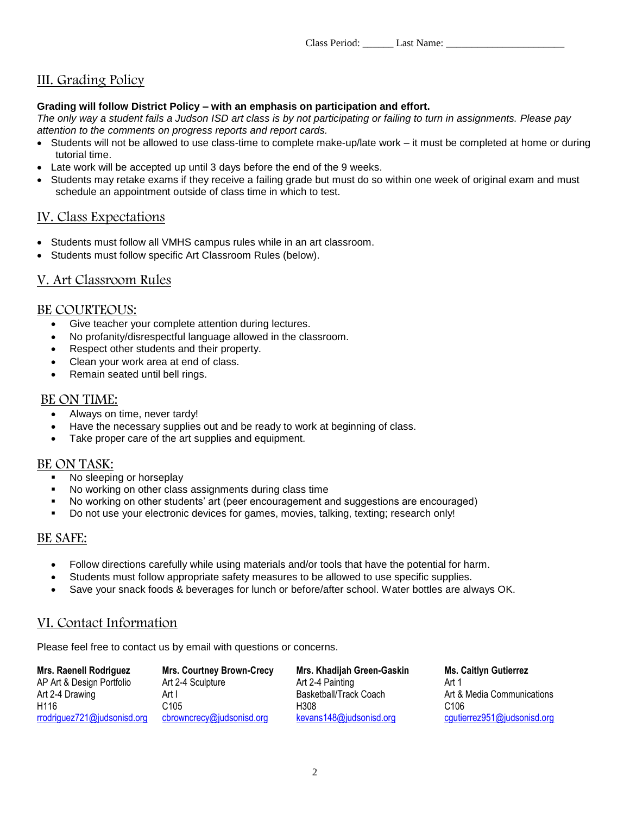Class Period: Last Name:

# III. Grading Policy

#### **Grading will follow District Policy – with an emphasis on participation and effort.**

*The only way a student fails a Judson ISD art class is by not participating or failing to turn in assignments. Please pay attention to the comments on progress reports and report cards.* 

- Students will not be allowed to use class-time to complete make-up/late work it must be completed at home or during tutorial time.
- Late work will be accepted up until 3 days before the end of the 9 weeks.
- Students may retake exams if they receive a failing grade but must do so within one week of original exam and must schedule an appointment outside of class time in which to test.

## IV. Class Expectations

- Students must follow all VMHS campus rules while in an art classroom.
- Students must follow specific Art Classroom Rules (below).

## V. Art Classroom Rules

#### BE COURTEOUS:

- Give teacher your complete attention during lectures.
- No profanity/disrespectful language allowed in the classroom.
- Respect other students and their property.
- Clean your work area at end of class.
- Remain seated until bell rings.

#### BE ON TIME:

- Always on time, never tardy!
- Have the necessary supplies out and be ready to work at beginning of class.
- Take proper care of the art supplies and equipment.

#### BE ON TASK:

- No sleeping or horseplay
- No working on other class assignments during class time
- No working on other students' art (peer encouragement and suggestions are encouraged)
- Do not use your electronic devices for games, movies, talking, texting; research only!

## BE SAFE:

- Follow directions carefully while using materials and/or tools that have the potential for harm.
- Students must follow appropriate safety measures to be allowed to use specific supplies.
- Save your snack foods & beverages for lunch or before/after school. Water bottles are always OK.

## VI. Contact Information

Please feel free to contact us by email with questions or concerns.

| <b>Mrs. Raenell Rodriguez</b> | <b>Mrs. Courtney Brown-Crecy</b> | Mrs. Khadijah Green-Gaskin | <b>Ms. Caitlyn Gutierrez</b> |
|-------------------------------|----------------------------------|----------------------------|------------------------------|
| AP Art & Design Portfolio     | Art 2-4 Sculpture                | Art 2-4 Painting           | Art 1                        |
| Art 2-4 Drawing               | Art I                            | Basketball/Track Coach     | Art & Media Communications   |
| H <sub>116</sub>              | C105                             | H308                       | C106                         |
| rrodriguez721@judsonisd.org   | cbrowncrecy@judsonisd.org        | kevans148@judsonisd.org    | cgutierrez951@judsonisd.org  |